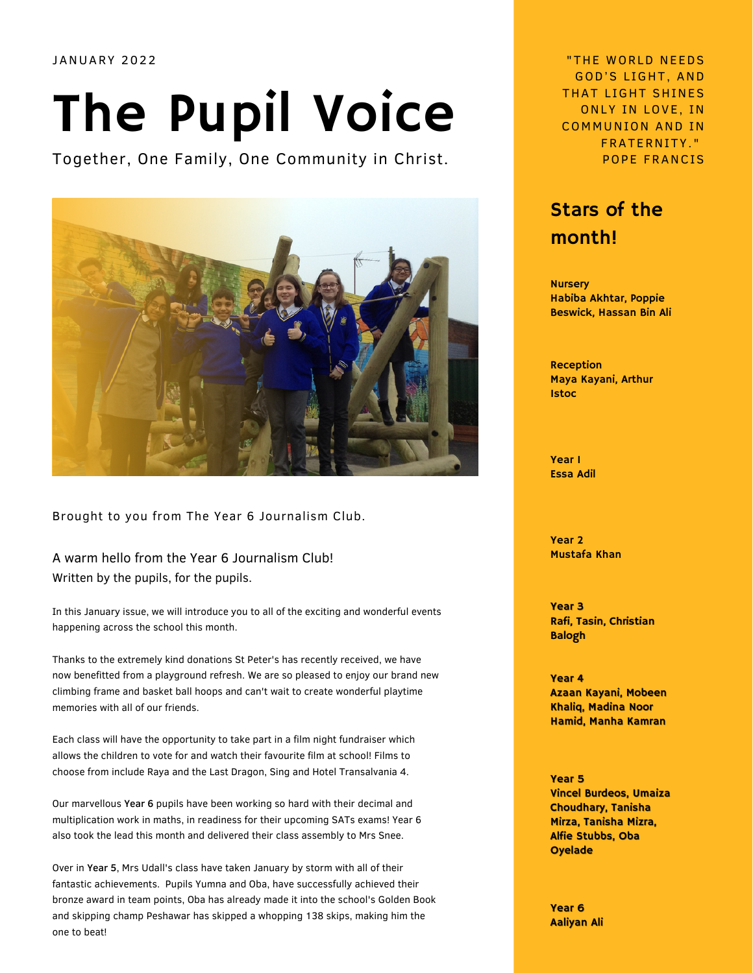## The Pupil Voice

Together, One Family, One Community in Christ.



Brought to you from The Year 6 Journalism Club.

A warm hello from the Year 6 Journalism Club! Written by the pupils, for the pupils.

In this January issue, we will introduce you to all of the exciting and wonderful events happening across the school this month.

Thanks to the extremely kind donations St Peter's has recently received, we have now benefitted from a playground refresh. We are so pleased to enjoy our brand new climbing frame and basket ball hoops and can't wait to create wonderful playtime memories with all of our friends.

Each class will have the opportunity to take part in a film night fundraiser which allows the children to vote for and watch their favourite film at school! Films to choose from include Raya and the Last Dragon, Sing and Hotel Transalvania 4.

Our marvellous Year 6 pupils have been working so hard with their decimal and multiplication work in maths, in readiness for their upcoming SATs exams! Year 6 also took the lead this month and delivered their class assembly to Mrs Snee.

Over in Year 5, Mrs Udall's class have taken January by storm with all of their fantastic achievements. Pupils Yumna and Oba, have successfully achieved their bronze award in team points, Oba has already made it into the school's Golden Book and skipping champ Peshawar has skipped a whopping 138 skips, making him the one to beat!

JANUARY 2022 "THE WORLD NE EDS GOD'S LIGHT, AND THAT LIGHT SHINES ONLY IN LOVE, IN COMMUNION AND IN FRATERNITY . " POPE FRANCIS

## Stars of the month!

**Nursery** Habiba Akhtar, Poppie Beswick, Hassan Bin Ali

Reception Maya Kayani, Arthur Istoc

Year 1 Essa Adil

Year 2 Mustafa Khan

Year 3 Rafi, Tasin, Christian Balogh

Year 4 Azaan Kayani, Mobeen Khaliq, Madina Noor Hamid, Manha Kamran

Year 5 Vincel Burdeos, Umaiza Choudhary, Tanisha Mirza, Tanisha Mizra, Alfie Stubbs, Oba **Oyelade** 

Year 6 Aaliyan Ali